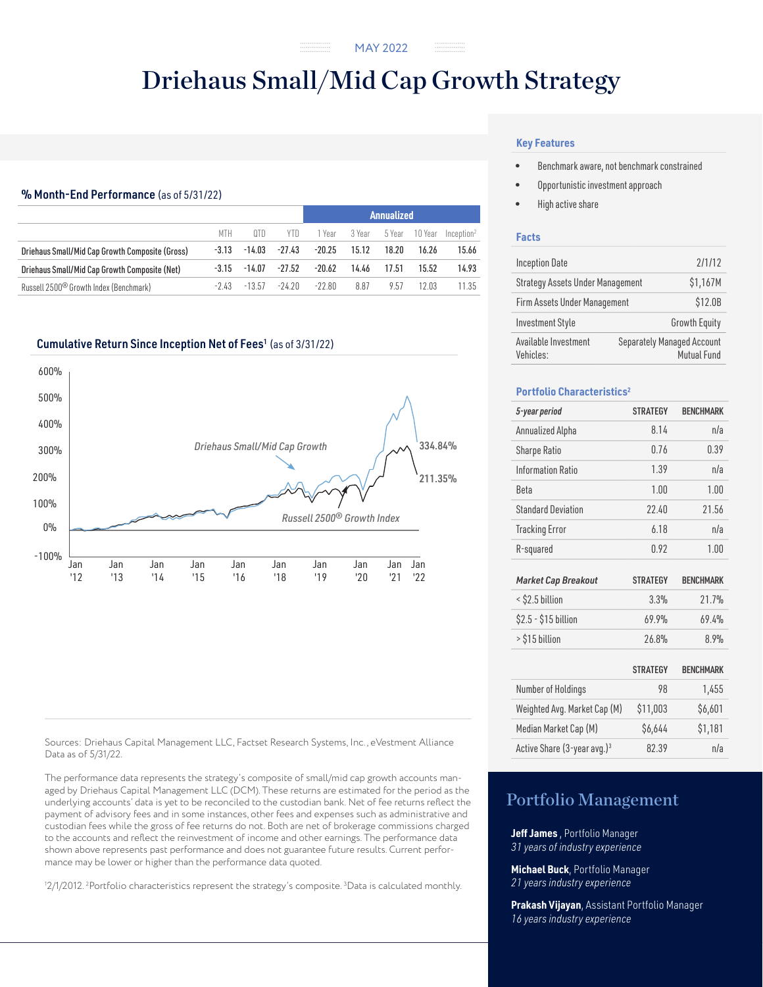# Driehaus Small/Mid Cap Growth Strategy

## % Month-End Performance (as of 5/31/22)

|                                                    |         |          |          | Annualized |        |        |         |                        |  |
|----------------------------------------------------|---------|----------|----------|------------|--------|--------|---------|------------------------|--|
|                                                    | MTH     | 0TD      | YTD      | 1 Year     | 3 Year | 5 Year | 10 Year | Inception <sup>2</sup> |  |
| Driehaus Small/Mid Cap Growth Composite (Gross)    | $-3.13$ | $-14.03$ | $-27.43$ | $-20.25$   | 15.12  | 18.20  | 16.26   | 15.66                  |  |
| Driehaus Small/Mid Cap Growth Composite (Net)      | -3.15   | $-14.07$ | $-27.52$ | $-20.62$   | 14.46  | 17.51  | 15.52   | 14.93                  |  |
| Russell 2500 <sup>®</sup> Growth Index (Benchmark) | -243    | $-13.57$ | -24.20   | -22.80     | 8.87   | 9.57   | 1203    | 11.35                  |  |

#### Cumulative Return Since Inception Net of Fees<sup>1</sup> (as of 3/31/22)



Sources: Driehaus Capital Management LLC, Factset Research Systems, Inc., eVestment Alliance Data as of 5/31/22.

The performance data represents the strategy's composite of small/mid cap growth accounts managed by Driehaus Capital Management LLC (DCM). These returns are estimated for the period as the underlying accounts' data is yet to be reconciled to the custodian bank. Net of fee returns reflect the payment of advisory fees and in some instances, other fees and expenses such as administrative and custodian fees while the gross of fee returns do not. Both are net of brokerage commissions charged to the accounts and reflect the reinvestment of income and other earnings. The performance data shown above represents past performance and does not guarantee future results. Current performance may be lower or higher than the performance data quoted.

1 2/1/2012. 2 Portfolio characteristics represent the strategy's composite. 3 Data is calculated monthly.

## **Key Features**

- Benchmark aware, not benchmark constrained
- Opportunistic investment approach
- High active share

#### **Facts**

| <b>Inception Date</b>             | 2/1/12   |                                                  |  |  |  |
|-----------------------------------|----------|--------------------------------------------------|--|--|--|
| Strategy Assets Under Management  | \$1,167M |                                                  |  |  |  |
| Firm Assets Under Management      | \$12.0B  |                                                  |  |  |  |
| <b>Investment Style</b>           |          | <b>Growth Equity</b>                             |  |  |  |
| Available Investment<br>Vehicles: |          | <b>Separately Managed Account</b><br>Mutual Fund |  |  |  |

## **Portfolio Characteristics2**

| 5-year period                           | <b>STRATEGY</b> | <b>BENCHMARK</b> |
|-----------------------------------------|-----------------|------------------|
| Annualized Alpha                        | 8.14            | n/a              |
| <b>Sharpe Ratio</b>                     | 0.76            | 0.39             |
| Information Ratio                       | 1.39            | n/a              |
| <b>Beta</b>                             | 1.00            | 1.00             |
| <b>Standard Deviation</b>               | 22.40           | 21.56            |
| <b>Tracking Error</b>                   | 6.18            | n/a              |
| R-squared                               | 0.92            | 1.00             |
|                                         |                 |                  |
| <b>Market Cap Breakout</b>              | <b>STRATEGY</b> | <b>BENCHMARK</b> |
| < \$2.5 billion                         | 3.3%            | 21.7%            |
| \$2.5 - \$15 billion                    | 69.9%           | 69.4%            |
| > \$15 billion                          | 26.8%           | 8.9%             |
|                                         |                 |                  |
|                                         | <b>STRATEGY</b> | <b>BENCHMARK</b> |
| Number of Holdings                      | 98              | 1,455            |
| Weighted Avg. Market Cap (M)            | \$11,003        | \$6,601          |
| Median Market Cap (M)                   | \$6,644         | \$1,181          |
| Active Share (3-year avg.) <sup>3</sup> | 82.39           | n/a              |

## Portfolio Management

**Jeff James** , Portfolio Manager *31 years of industry experience*

**Michael Buck**, Portfolio Manager *21 years industry experience*

**Prakash Vijayan**, Assistant Portfolio Manager *16 years industry experience*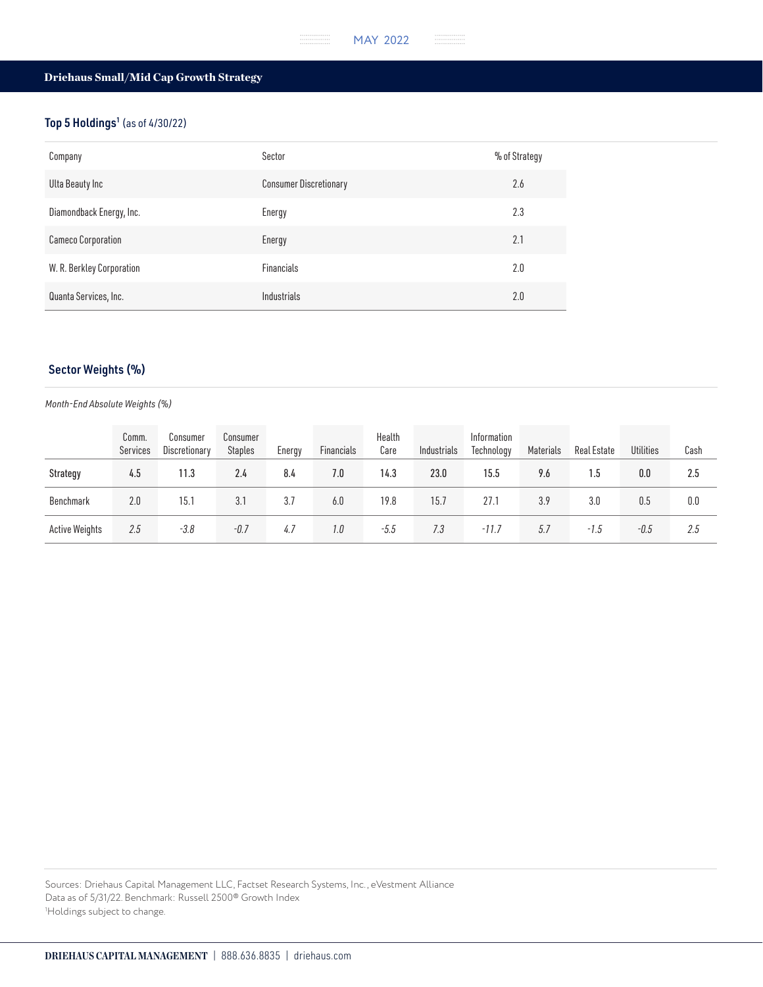## Driehaus Small/Mid Cap Growth Strategy

## Top 5 Holdings<sup>1</sup> (as of 4/30/22)

| Company                   | Sector                        | % of Strategy |
|---------------------------|-------------------------------|---------------|
| Ulta Beauty Inc           | <b>Consumer Discretionary</b> | 2.6           |
| Diamondback Energy, Inc.  | Energy                        | 2.3           |
| Cameco Corporation        | Energy                        | 2.1           |
| W. R. Berkley Corporation | Financials                    | 2.0           |
| Quanta Services, Inc.     | Industrials                   | 2.0           |

## Sector Weights (%)

#### *Month-End Absolute Weights (%)*

|                       | Comm.<br>Services | Consumer<br>Discretionary | Consumer<br><b>Staples</b> | Energy | Financials | Health<br>Care | Industrials | Information<br>Technology | Materials | Real Estate | <b>Utilities</b> | Cash |
|-----------------------|-------------------|---------------------------|----------------------------|--------|------------|----------------|-------------|---------------------------|-----------|-------------|------------------|------|
| Strategy              | 4.5               | 11.3                      | 2.4                        | 8.4    | 7.0        | 14.3           | 23.0        | 15.5                      | 9.6       | 1.5         | 0.0              | 2.5  |
| Benchmark             | 2.0               | 15.1                      | 3.1                        | 3.7    | 6.0        | 19.8           | 15.7        | 27.1                      | 3.9       | 3.0         | 0.5              | 0.0  |
| <b>Active Weights</b> | 2.5               | -3.8                      | -0.7                       | 4.7    | 1.0        | $-5.5$         | 7.3         | $-11.7$                   | 5.7       | $-1.5$      | -0.5             | 2.5  |

Sources: Driehaus Capital Management LLC, Factset Research Systems, Inc., eVestment Alliance Data as of 5/31/22. Benchmark: Russell 2500® Growth Index 1 Holdings subject to change.